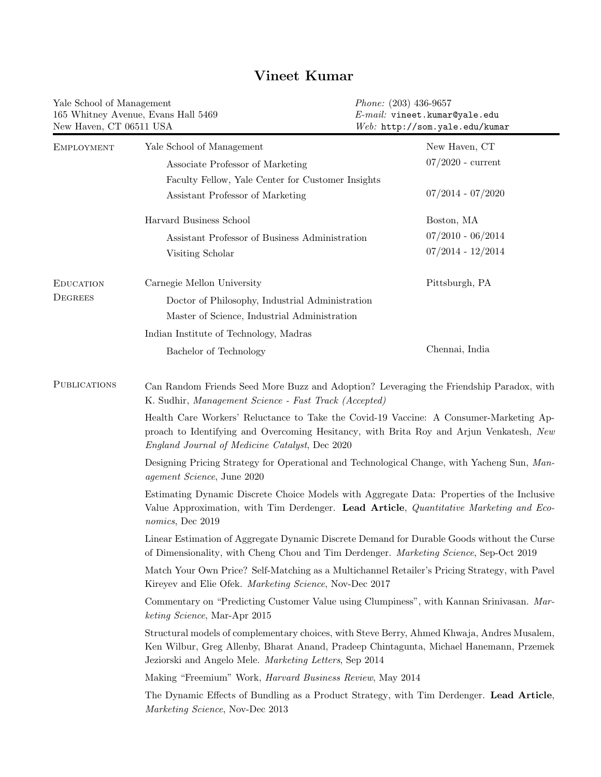## Yale School of Management 165 Whitney Avenue, Evans Hall 5469 New Haven, CT 06511 USA Phone: (203) 436-9657 E-mail: vineet.kumar@yale.edu Web: http://som.yale.edu/kumar EMPLOYMENT Yale School of Management Associate Professor of Marketing Faculty Fellow, Yale Center for Customer Insights Assistant Professor of Marketing New Haven, CT 07/2020 - current 07/2014 - 07/2020 Harvard Business School Assistant Professor of Business Administration Visiting Scholar Boston, MA 07/2010 - 06/2014 07/2014 - 12/2014 **EDUCATION DEGREES** Carnegie Mellon University Doctor of Philosophy, Industrial Administration Master of Science, Industrial Administration Indian Institute of Technology, Madras Bachelor of Technology Pittsburgh, PA Chennai, India PUBLICATIONS [Can Random Friends Seed More Buzz and Adoption? Leveraging the Friendship Paradox,](http://vineetkumars.github.io/Papers/BuzzFriends.pdf) with K. Sudhir, Management Science - Fast Track (Accepted) [Health Care Workers' Reluctance to Take the Covid-19 Vaccine: A Consumer-Marketing Ap](http://vineetkumars.github.io/Papers/VaccineHesitancy.pdf)[proach to Identifying and Overcoming Hesitancy,](http://vineetkumars.github.io/Papers/VaccineHesitancy.pdf) with Brita Roy and Arjun Venkatesh, New England Journal of Medicine Catalyst, Dec 2020 [Designing Pricing Strategy for Operational and Technological Change,](http://vineetkumars.github.io/Papers/DesigningPricingforTransformation.pdf) with Yacheng Sun, Management Science, June 2020 [Estimating Dynamic Discrete Choice Models with Aggregate Data: Properties of the Inclusive](http://vineetkumars.github.io/Papers/DynamicDiscreteIVSProperties.pdf) [Value Approximation,](http://vineetkumars.github.io/Papers/DynamicDiscreteIVSProperties.pdf) with Tim Derdenger. Lead Article, Quantitative Marketing and Economics, Dec 2019 [Linear Estimation of Aggregate Dynamic Discrete Demand for Durable Goods without the Curse](http://vineetkumars.github.io/Papers/CDKEstimator.pdf) [of Dimensionality,](http://vineetkumars.github.io/Papers/CDKEstimator.pdf) with Cheng Chou and Tim Derdenger. Marketing Science, Sep-Oct 2019 [Match Your Own Price? Self-Matching as a Multichannel Retailer's Pricing Strategy,](http://vineetkumars.github.io/Papers/MultichannelPriceMatching.pdf) with Pavel Kireyev and Elie Ofek. Marketing Science, Nov-Dec 2017 [Commentary on "Predicting Customer Value using Clumpiness",](http://vineetkumars.github.io/Papers/ClumpinessCommentary.pdf) with Kannan Srinivasan. Marketing Science, Mar-Apr 2015 [Structural models of complementary choices,](http://vineetkumars.github.io/Papers/ComplementaryChoices.pdf) with Steve Berry, Ahmed Khwaja, Andres Musalem, Ken Wilbur, Greg Allenby, Bharat Anand, Pradeep Chintagunta, Michael Hanemann, Przemek Jeziorski and Angelo Mele. Marketing Letters, Sep 2014 [Making "Freemium" Work,](http://vineetkumars.github.io/Papers/Freemium_May2014_Kumar.pdf) Harvard Business Review, May 2014 [The Dynamic Effects of Bundling as a Product Strategy,](http://vineetkumars.github.io/Papers/DynamicBundling.pdf) with Tim Derdenger. Lead Article, Marketing Science, Nov-Dec 2013

## Vineet Kumar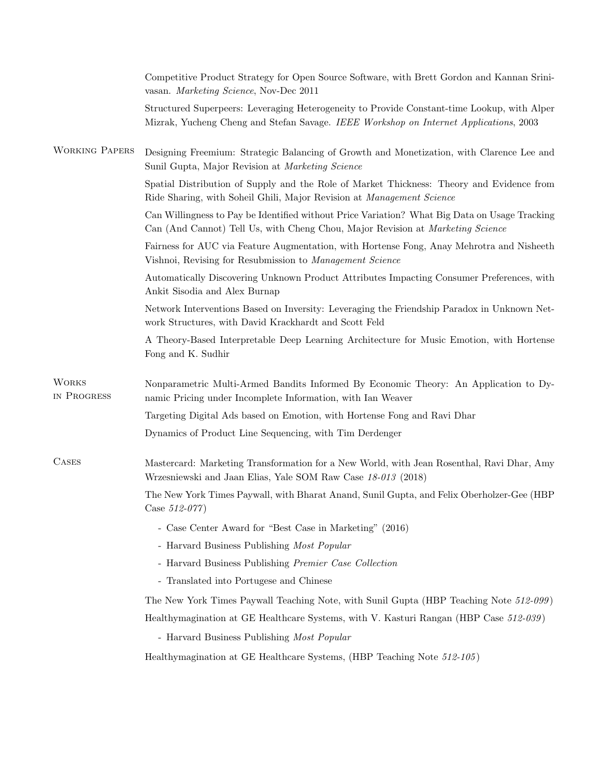|                             | Competitive Product Strategy for Open Source Software, with Brett Gordon and Kannan Srini-<br>vasan. Marketing Science, Nov-Dec 2011                                                 |
|-----------------------------|--------------------------------------------------------------------------------------------------------------------------------------------------------------------------------------|
|                             | Structured Superpeers: Leveraging Heterogeneity to Provide Constant-time Lookup, with Alper<br>Mizrak, Yucheng Cheng and Stefan Savage. IEEE Workshop on Internet Applications, 2003 |
| <b>WORKING PAPERS</b>       | Designing Freemium: Strategic Balancing of Growth and Monetization, with Clarence Lee and<br>Sunil Gupta, Major Revision at Marketing Science                                        |
|                             | Spatial Distribution of Supply and the Role of Market Thickness: Theory and Evidence from<br>Ride Sharing, with Soheil Ghili, Major Revision at Management Science                   |
|                             | Can Willingness to Pay be Identified without Price Variation? What Big Data on Usage Tracking<br>Can (And Cannot) Tell Us, with Cheng Chou, Major Revision at Marketing Science      |
|                             | Fairness for AUC via Feature Augmentation, with Hortense Fong, Anay Mehrotra and Nisheeth<br>Vishnoi, Revising for Resubmission to Management Science                                |
|                             | Automatically Discovering Unknown Product Attributes Impacting Consumer Preferences, with<br>Ankit Sisodia and Alex Burnap                                                           |
|                             | Network Interventions Based on Inversity: Leveraging the Friendship Paradox in Unknown Net-<br>work Structures, with David Krackhardt and Scott Feld                                 |
|                             | A Theory-Based Interpretable Deep Learning Architecture for Music Emotion, with Hortense<br>Fong and K. Sudhir                                                                       |
| <b>WORKS</b><br>IN PROGRESS | Nonparametric Multi-Armed Bandits Informed By Economic Theory: An Application to Dy-<br>namic Pricing under Incomplete Information, with Ian Weaver                                  |
|                             | Targeting Digital Ads based on Emotion, with Hortense Fong and Ravi Dhar                                                                                                             |
|                             | Dynamics of Product Line Sequencing, with Tim Derdenger                                                                                                                              |
| <b>CASES</b>                | Mastercard: Marketing Transformation for a New World, with Jean Rosenthal, Ravi Dhar, Amy<br>Wrzesniewski and Jaan Elias, Yale SOM Raw Case 18-013 (2018)                            |
|                             | The New York Times Paywall, with Bharat Anand, Sunil Gupta, and Felix Oberholzer-Gee (HBP)<br>Case $512-077$ )                                                                       |
|                             | - Case Center Award for "Best Case in Marketing" (2016)                                                                                                                              |
|                             | - Harvard Business Publishing Most Popular                                                                                                                                           |
|                             | - Harvard Business Publishing Premier Case Collection                                                                                                                                |
|                             | - Translated into Portugese and Chinese                                                                                                                                              |
|                             | The New York Times Paywall Teaching Note, with Sunil Gupta (HBP Teaching Note 512-099)                                                                                               |
|                             | Healthymagination at GE Healthcare Systems, with V. Kasturi Rangan (HBP Case 512-039)                                                                                                |
|                             | - Harvard Business Publishing Most Popular                                                                                                                                           |
|                             | Healthymagination at GE Healthcare Systems, (HBP Teaching Note 512-105)                                                                                                              |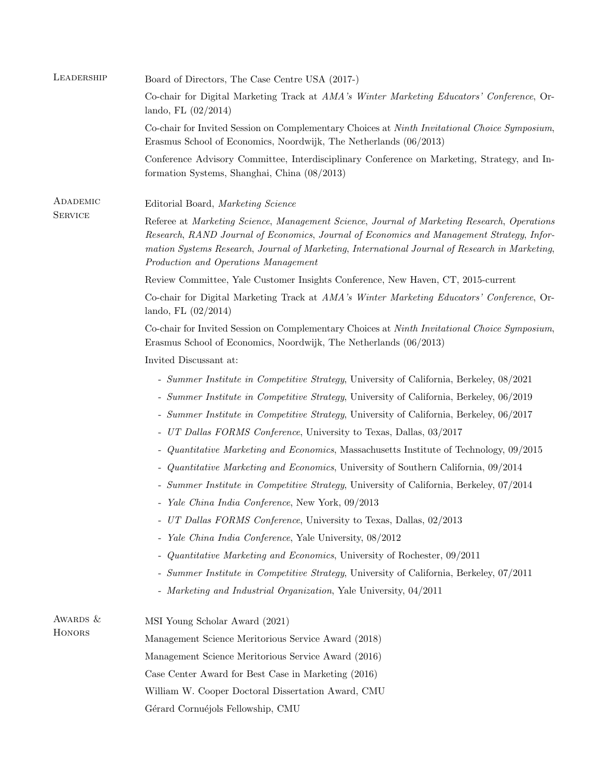| LEADERSHIP                 | Board of Directors, The Case Centre USA (2017-)                                                                                                                                                                                                                                                                                    |
|----------------------------|------------------------------------------------------------------------------------------------------------------------------------------------------------------------------------------------------------------------------------------------------------------------------------------------------------------------------------|
|                            | Co-chair for Digital Marketing Track at AMA's Winter Marketing Educators' Conference, Or-<br>lando, FL $(02/2014)$                                                                                                                                                                                                                 |
|                            | Co-chair for Invited Session on Complementary Choices at Ninth Invitational Choice Symposium,<br>Erasmus School of Economics, Noordwijk, The Netherlands (06/2013)                                                                                                                                                                 |
|                            | Conference Advisory Committee, Interdisciplinary Conference on Marketing, Strategy, and In-<br>formation Systems, Shanghai, China (08/2013)                                                                                                                                                                                        |
| ADADEMIC<br><b>SERVICE</b> | Editorial Board, Marketing Science                                                                                                                                                                                                                                                                                                 |
|                            | Referee at Marketing Science, Management Science, Journal of Marketing Research, Operations<br>Research, RAND Journal of Economics, Journal of Economics and Management Strategy, Infor-<br>mation Systems Research, Journal of Marketing, International Journal of Research in Marketing,<br>Production and Operations Management |
|                            | Review Committee, Yale Customer Insights Conference, New Haven, CT, 2015-current                                                                                                                                                                                                                                                   |
|                            | Co-chair for Digital Marketing Track at AMA's Winter Marketing Educators' Conference, Or-<br>lando, FL $(02/2014)$                                                                                                                                                                                                                 |
|                            | Co-chair for Invited Session on Complementary Choices at Ninth Invitational Choice Symposium,<br>Erasmus School of Economics, Noordwijk, The Netherlands (06/2013)                                                                                                                                                                 |
|                            | Invited Discussant at:                                                                                                                                                                                                                                                                                                             |
|                            | - Summer Institute in Competitive Strategy, University of California, Berkeley, 08/2021                                                                                                                                                                                                                                            |
|                            | - Summer Institute in Competitive Strategy, University of California, Berkeley, 06/2019                                                                                                                                                                                                                                            |
|                            | - Summer Institute in Competitive Strategy, University of California, Berkeley, 06/2017                                                                                                                                                                                                                                            |
|                            | - UT Dallas FORMS Conference, University to Texas, Dallas, 03/2017                                                                                                                                                                                                                                                                 |
|                            | - Quantitative Marketing and Economics, Massachusetts Institute of Technology, 09/2015                                                                                                                                                                                                                                             |
|                            | - Quantitative Marketing and Economics, University of Southern California, 09/2014                                                                                                                                                                                                                                                 |
|                            | - Summer Institute in Competitive Strategy, University of California, Berkeley, 07/2014                                                                                                                                                                                                                                            |
|                            | - Yale China India Conference, New York, 09/2013                                                                                                                                                                                                                                                                                   |
|                            | - UT Dallas FORMS Conference, University to Texas, Dallas, 02/2013                                                                                                                                                                                                                                                                 |
|                            | - Yale China India Conference, Yale University, 08/2012                                                                                                                                                                                                                                                                            |
|                            | Quantitative Marketing and Economics, University of Rochester, 09/2011<br>$\overline{\phantom{0}}$                                                                                                                                                                                                                                 |
|                            | - Summer Institute in Competitive Strategy, University of California, Berkeley, 07/2011                                                                                                                                                                                                                                            |
|                            | - Marketing and Industrial Organization, Yale University, 04/2011                                                                                                                                                                                                                                                                  |
| AWARDS &<br>HONORS         | MSI Young Scholar Award (2021)                                                                                                                                                                                                                                                                                                     |
|                            | Management Science Meritorious Service Award (2018)                                                                                                                                                                                                                                                                                |
|                            | Management Science Meritorious Service Award (2016)                                                                                                                                                                                                                                                                                |
|                            | Case Center Award for Best Case in Marketing (2016)                                                                                                                                                                                                                                                                                |
|                            | William W. Cooper Doctoral Dissertation Award, CMU                                                                                                                                                                                                                                                                                 |
|                            | Gérard Cornuéjols Fellowship, CMU                                                                                                                                                                                                                                                                                                  |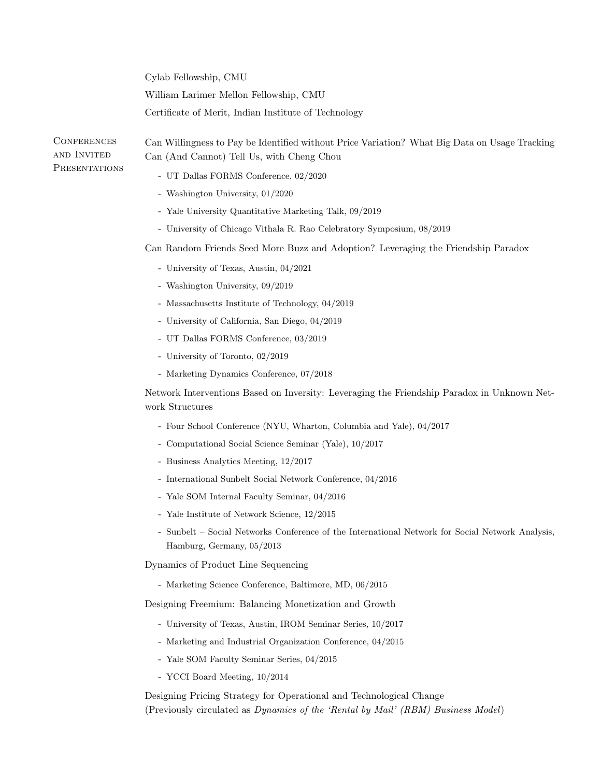|                                                    | Cylab Fellowship, CMU                                                                                                                      |
|----------------------------------------------------|--------------------------------------------------------------------------------------------------------------------------------------------|
|                                                    | William Larimer Mellon Fellowship, CMU                                                                                                     |
|                                                    | Certificate of Merit, Indian Institute of Technology                                                                                       |
| <b>CONFERENCES</b><br>AND INVITED<br>PRESENTATIONS | Can Willingness to Pay be Identified without Price Variation? What Big Data on Usage Tracking<br>Can (And Cannot) Tell Us, with Cheng Chou |
|                                                    | - UT Dallas FORMS Conference, 02/2020                                                                                                      |
|                                                    | - Washington University, 01/2020                                                                                                           |
|                                                    | - Yale University Quantitative Marketing Talk, 09/2019                                                                                     |
|                                                    | - University of Chicago Vithala R. Rao Celebratory Symposium, 08/2019                                                                      |
|                                                    | Can Random Friends Seed More Buzz and Adoption? Leveraging the Friendship Paradox                                                          |
|                                                    | - University of Texas, Austin, 04/2021                                                                                                     |
|                                                    | - Washington University, 09/2019                                                                                                           |
|                                                    | - Massachusetts Institute of Technology, 04/2019                                                                                           |
|                                                    | - University of California, San Diego, 04/2019                                                                                             |
|                                                    | - UT Dallas FORMS Conference, 03/2019                                                                                                      |
|                                                    | - University of Toronto, 02/2019                                                                                                           |
|                                                    | - Marketing Dynamics Conference, 07/2018                                                                                                   |
|                                                    | Network Interventions Based on Inversity: Leveraging the Friendship Paradox in Unknown Net-<br>work Structures                             |
|                                                    | - Four School Conference (NYU, Wharton, Columbia and Yale), 04/2017                                                                        |
|                                                    | - Computational Social Science Seminar (Yale), 10/2017                                                                                     |
|                                                    | - Business Analytics Meeting, 12/2017                                                                                                      |
|                                                    | - International Sunbelt Social Network Conference, 04/2016                                                                                 |
|                                                    | - Yale SOM Internal Faculty Seminar, 04/2016                                                                                               |
|                                                    | - Yale Institute of Network Science, 12/2015                                                                                               |
|                                                    | - Sunbelt - Social Networks Conference of the International Network for Social Network Analysis,<br>Hamburg, Germany, 05/2013              |
|                                                    | Dynamics of Product Line Sequencing                                                                                                        |
|                                                    | - Marketing Science Conference, Baltimore, MD, 06/2015                                                                                     |
|                                                    | Designing Freemium: Balancing Monetization and Growth                                                                                      |
|                                                    | - University of Texas, Austin, IROM Seminar Series, 10/2017                                                                                |
|                                                    | - Marketing and Industrial Organization Conference, 04/2015                                                                                |
|                                                    | - Yale SOM Faculty Seminar Series, 04/2015                                                                                                 |
|                                                    | - YCCI Board Meeting, 10/2014                                                                                                              |
|                                                    | Designing Pricing Strategy for Operational and Technological Change                                                                        |

(Previously circulated as Dynamics of the 'Rental by Mail' (RBM) Business Model)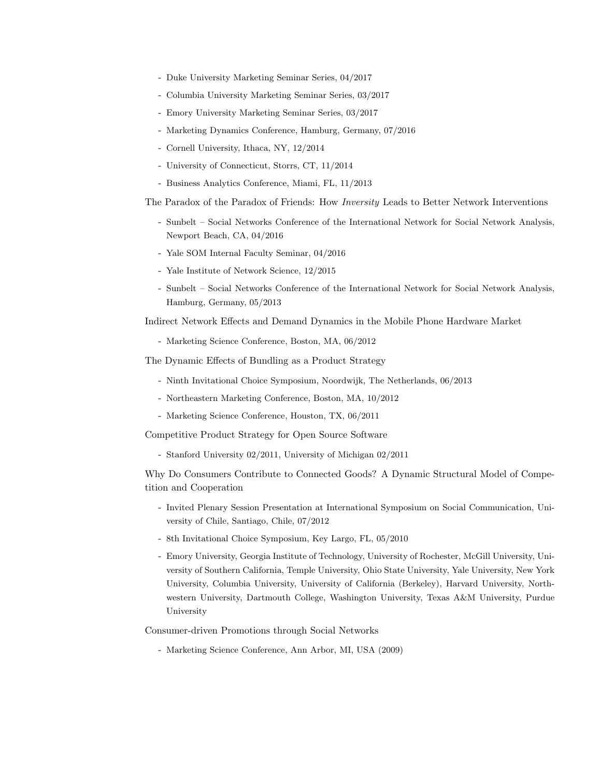- Duke University Marketing Seminar Series, 04/2017
- Columbia University Marketing Seminar Series, 03/2017
- Emory University Marketing Seminar Series, 03/2017
- Marketing Dynamics Conference, Hamburg, Germany, 07/2016
- Cornell University, Ithaca, NY, 12/2014
- University of Connecticut, Storrs, CT, 11/2014
- Business Analytics Conference, Miami, FL, 11/2013

The Paradox of the Paradox of Friends: How Inversity Leads to Better Network Interventions

- Sunbelt Social Networks Conference of the International Network for Social Network Analysis, Newport Beach, CA, 04/2016
- Yale SOM Internal Faculty Seminar, 04/2016
- Yale Institute of Network Science, 12/2015
- Sunbelt Social Networks Conference of the International Network for Social Network Analysis, Hamburg, Germany, 05/2013

Indirect Network Effects and Demand Dynamics in the Mobile Phone Hardware Market

- Marketing Science Conference, Boston, MA, 06/2012

The Dynamic Effects of Bundling as a Product Strategy

- Ninth Invitational Choice Symposium, Noordwijk, The Netherlands, 06/2013
- Northeastern Marketing Conference, Boston, MA, 10/2012
- Marketing Science Conference, Houston, TX, 06/2011

Competitive Product Strategy for Open Source Software

- Stanford University 02/2011, University of Michigan 02/2011

Why Do Consumers Contribute to Connected Goods? A Dynamic Structural Model of Competition and Cooperation

- Invited Plenary Session Presentation at International Symposium on Social Communication, University of Chile, Santiago, Chile, 07/2012
- 8th Invitational Choice Symposium, Key Largo, FL, 05/2010
- Emory University, Georgia Institute of Technology, University of Rochester, McGill University, University of Southern California, Temple University, Ohio State University, Yale University, New York University, Columbia University, University of California (Berkeley), Harvard University, Northwestern University, Dartmouth College, Washington University, Texas A&M University, Purdue University

Consumer-driven Promotions through Social Networks

- Marketing Science Conference, Ann Arbor, MI, USA (2009)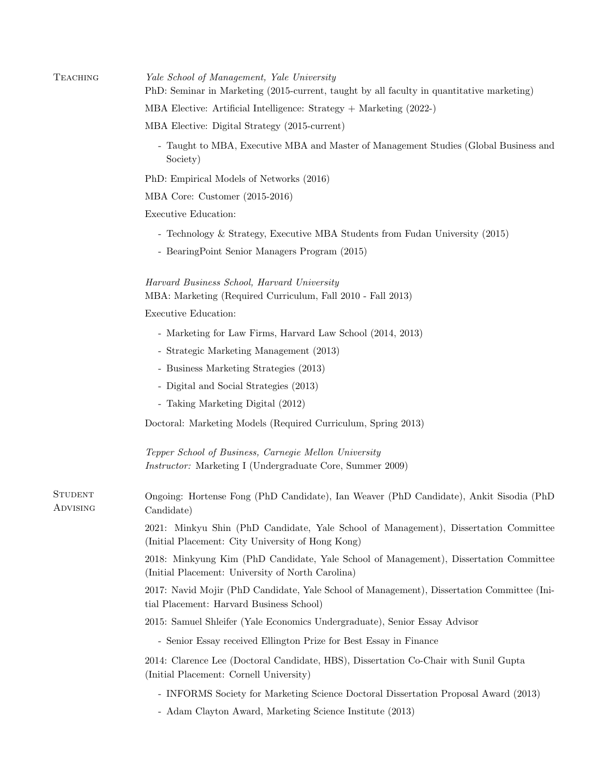| TEACHING                   | Yale School of Management, Yale University<br>PhD: Seminar in Marketing (2015-current, taught by all faculty in quantitative marketing)    |
|----------------------------|--------------------------------------------------------------------------------------------------------------------------------------------|
|                            | MBA Elective: Artificial Intelligence: Strategy $+$ Marketing (2022-)                                                                      |
|                            | MBA Elective: Digital Strategy (2015-current)                                                                                              |
|                            | - Taught to MBA, Executive MBA and Master of Management Studies (Global Business and<br>Society)                                           |
|                            | PhD: Empirical Models of Networks (2016)                                                                                                   |
|                            | MBA Core: Customer (2015-2016)                                                                                                             |
|                            | Executive Education:                                                                                                                       |
|                            | - Technology & Strategy, Executive MBA Students from Fudan University (2015)                                                               |
|                            | - BearingPoint Senior Managers Program (2015)                                                                                              |
|                            | Harvard Business School, Harvard University                                                                                                |
|                            | MBA: Marketing (Required Curriculum, Fall 2010 - Fall 2013)<br>Executive Education:                                                        |
|                            |                                                                                                                                            |
|                            | - Marketing for Law Firms, Harvard Law School (2014, 2013)                                                                                 |
|                            | - Strategic Marketing Management (2013)                                                                                                    |
|                            | - Business Marketing Strategies (2013)                                                                                                     |
|                            | - Digital and Social Strategies (2013)                                                                                                     |
|                            | - Taking Marketing Digital (2012)                                                                                                          |
|                            | Doctoral: Marketing Models (Required Curriculum, Spring 2013)                                                                              |
|                            | Tepper School of Business, Carnegie Mellon University<br><i>Instructor:</i> Marketing I (Undergraduate Core, Summer 2009)                  |
| <b>STUDENT</b><br>Advising | Ongoing: Hortense Fong (PhD Candidate), Ian Weaver (PhD Candidate), Ankit Sisodia (PhD<br>Candidate)                                       |
|                            | 2021: Minkyu Shin (PhD Candidate, Yale School of Management), Dissertation Committee<br>(Initial Placement: City University of Hong Kong)  |
|                            | 2018: Minkyung Kim (PhD Candidate, Yale School of Management), Dissertation Committee<br>(Initial Placement: University of North Carolina) |
|                            | 2017: Navid Mojir (PhD Candidate, Yale School of Management), Dissertation Committee (Ini-<br>tial Placement: Harvard Business School)     |
|                            | 2015: Samuel Shleifer (Yale Economics Undergraduate), Senior Essay Advisor                                                                 |
|                            | - Senior Essay received Ellington Prize for Best Essay in Finance                                                                          |
|                            | 2014: Clarence Lee (Doctoral Candidate, HBS), Dissertation Co-Chair with Sunil Gupta<br>(Initial Placement: Cornell University)            |
|                            | - INFORMS Society for Marketing Science Doctoral Dissertation Proposal Award (2013)                                                        |
|                            | - Adam Clayton Award, Marketing Science Institute (2013)                                                                                   |